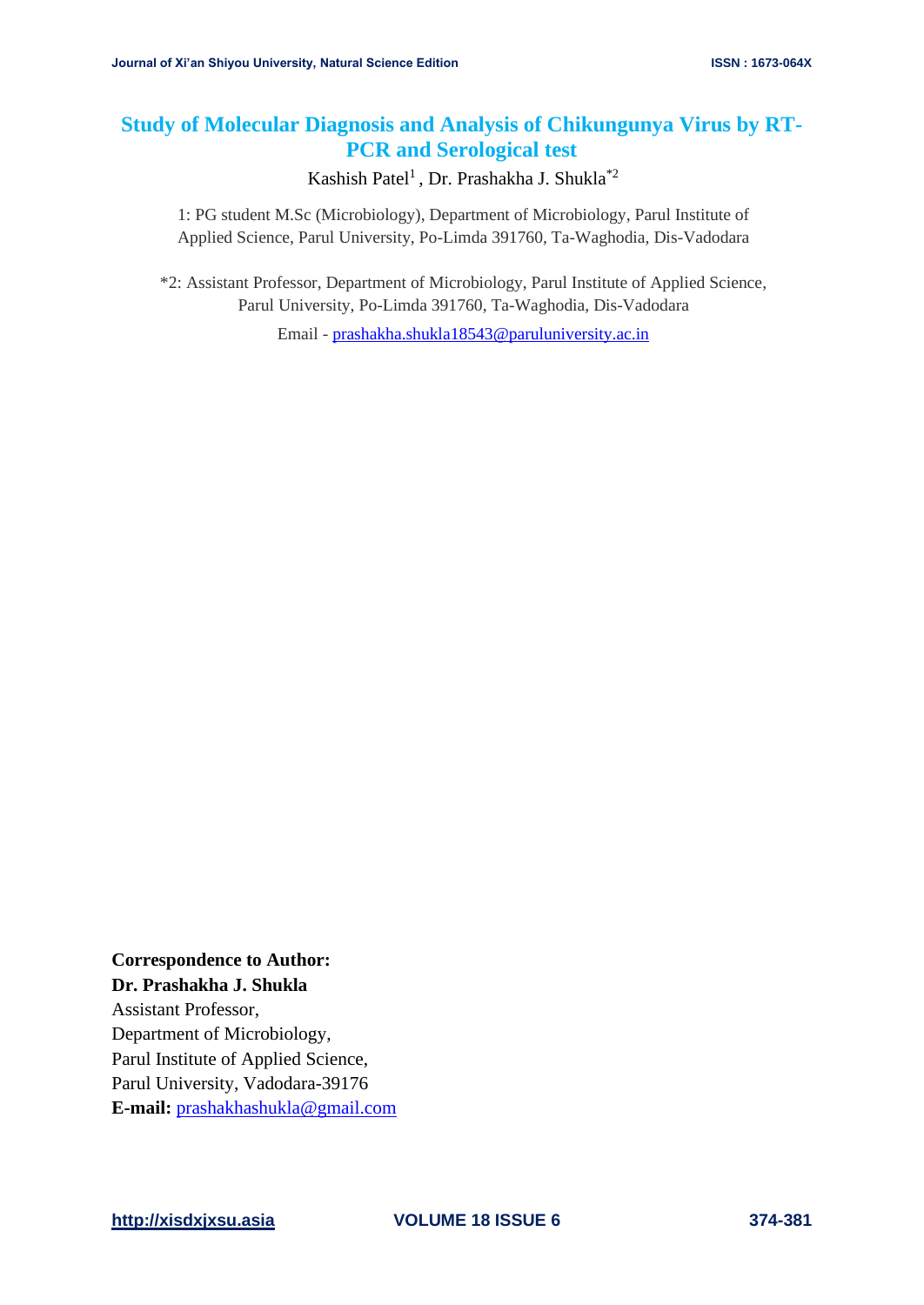# **Study of Molecular Diagnosis and Analysis of Chikungunya Virus by RT-PCR and Serological test**

Kashish Patel<sup>1</sup>, Dr. Prashakha J. Shukla<sup>\*2</sup>

1: PG student M.Sc (Microbiology), Department of Microbiology, Parul Institute of Applied Science, Parul University, Po-Limda 391760, Ta-Waghodia, Dis-Vadodara

\*2: Assistant Professor, Department of Microbiology, Parul Institute of Applied Science, Parul University, Po-Limda 391760, Ta-Waghodia, Dis-Vadodara

Email - [prashakha.shukla18543@paruluniversity.ac.in](mailto:prashakha.shukla18543@paruluniversity.ac.in)

**Correspondence to Author: Dr. Prashakha J. Shukla** Assistant Professor, Department of Microbiology, Parul Institute of Applied Science, Parul University, Vadodara-39176 **E-mail:** [prashakhashukla@gmail.com](mailto:prashakhashukla@gmail.com)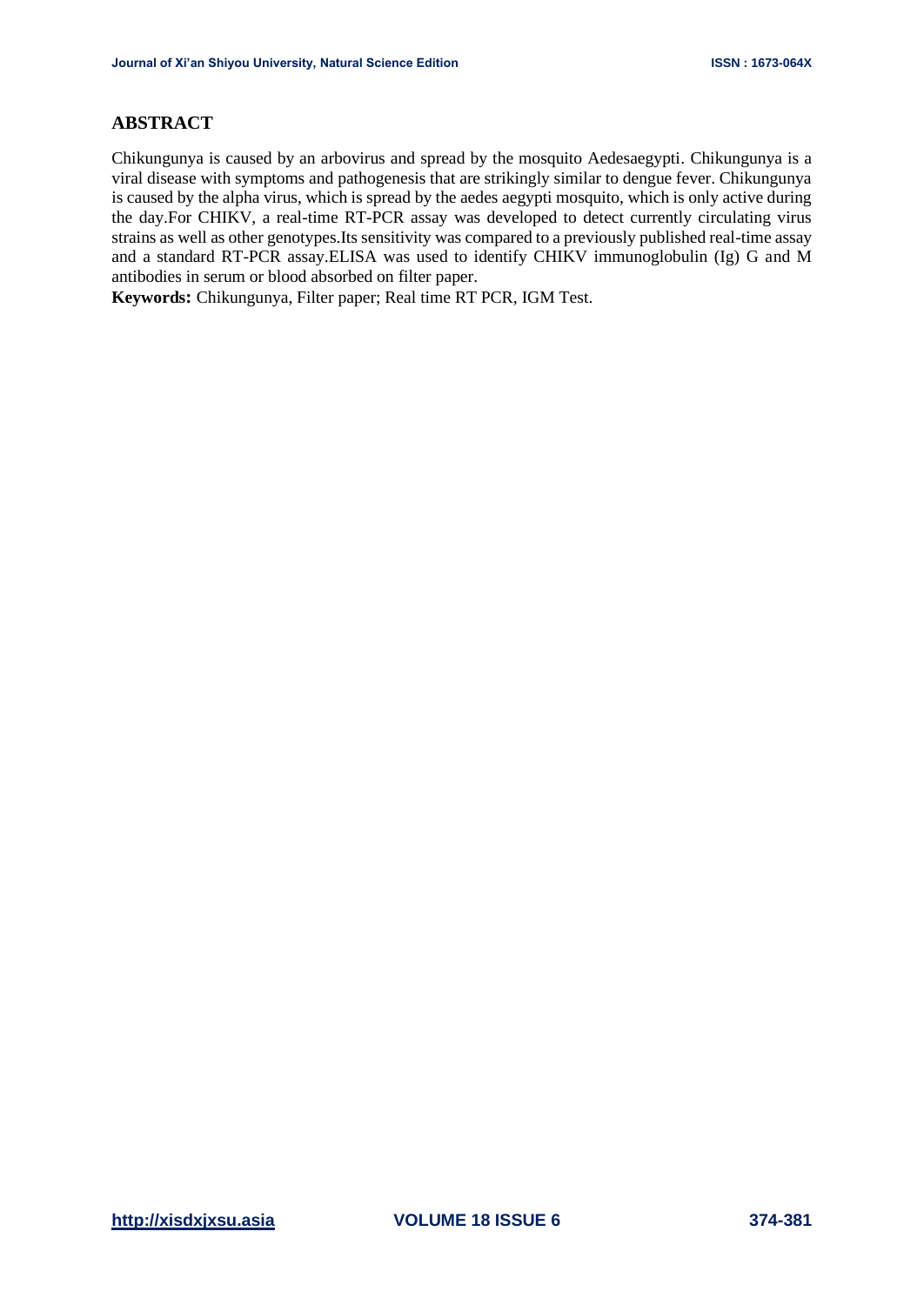# **ABSTRACT**

Chikungunya is caused by an arbovirus and spread by the mosquito Aedesaegypti. Chikungunya is a viral disease with symptoms and pathogenesis that are strikingly similar to dengue fever. Chikungunya is caused by the alpha virus, which is spread by the aedes aegypti mosquito, which is only active during the day.For CHIKV, a real-time RT-PCR assay was developed to detect currently circulating virus strains as well as other genotypes.Its sensitivity was compared to a previously published real-time assay and a standard RT-PCR assay.ELISA was used to identify CHIKV immunoglobulin (Ig) G and M antibodies in serum or blood absorbed on filter paper.

**Keywords:** Chikungunya, Filter paper; Real time RT PCR, IGM Test.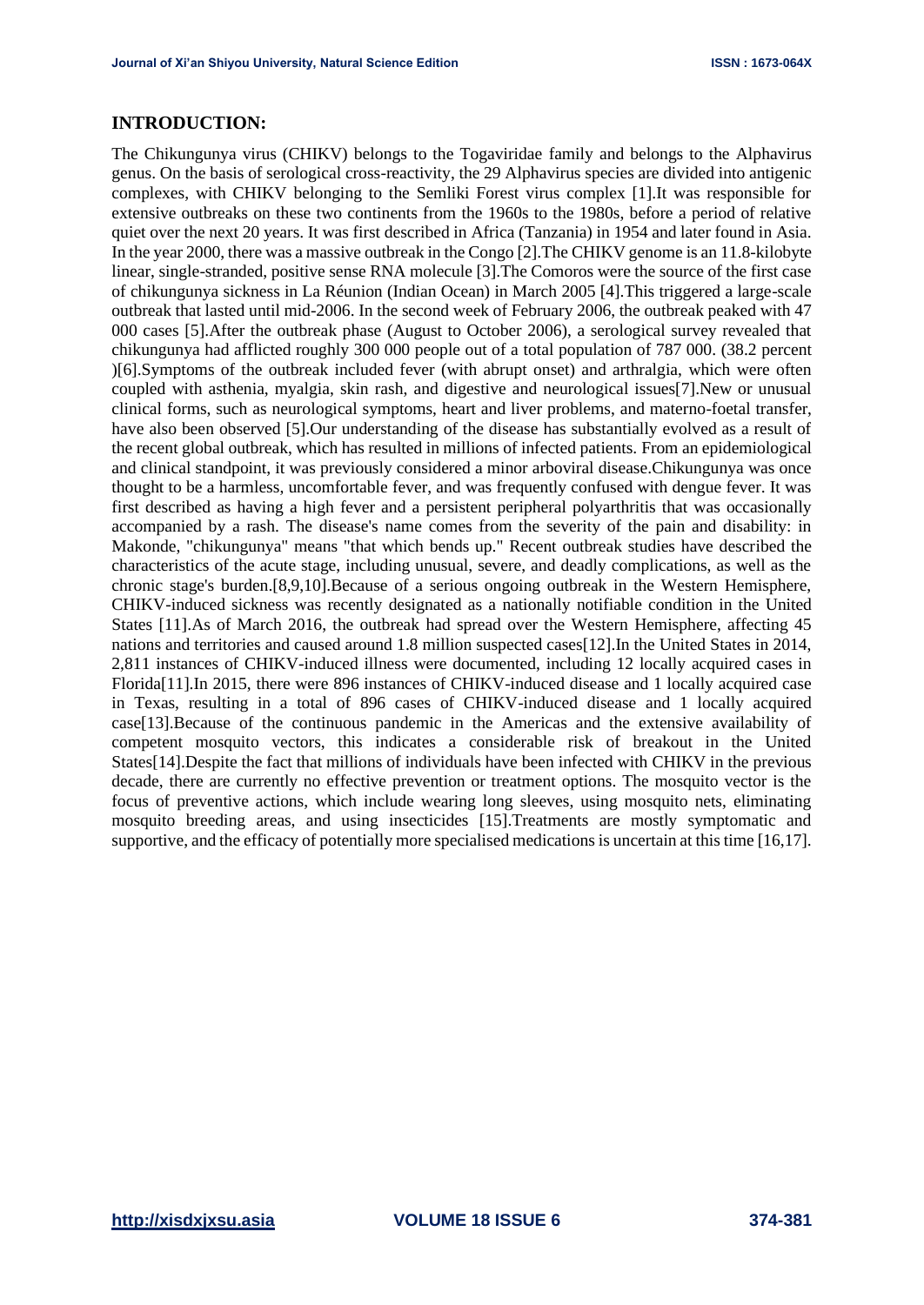### **INTRODUCTION:**

The Chikungunya virus (CHIKV) belongs to the Togaviridae family and belongs to the Alphavirus genus. On the basis of serological cross-reactivity, the 29 Alphavirus species are divided into antigenic complexes, with CHIKV belonging to the Semliki Forest virus complex [1].It was responsible for extensive outbreaks on these two continents from the 1960s to the 1980s, before a period of relative quiet over the next 20 years. It was first described in Africa (Tanzania) in 1954 and later found in Asia. In the year 2000, there was a massive outbreak in the Congo [2].The CHIKV genome is an 11.8-kilobyte linear, single-stranded, positive sense RNA molecule [3].The Comoros were the source of the first case of chikungunya sickness in La Réunion (Indian Ocean) in March 2005 [4].This triggered a large-scale outbreak that lasted until mid-2006. In the second week of February 2006, the outbreak peaked with 47 000 cases [5].After the outbreak phase (August to October 2006), a serological survey revealed that chikungunya had afflicted roughly 300 000 people out of a total population of 787 000. (38.2 percent )[6].Symptoms of the outbreak included fever (with abrupt onset) and arthralgia, which were often coupled with asthenia, myalgia, skin rash, and digestive and neurological issues[7].New or unusual clinical forms, such as neurological symptoms, heart and liver problems, and materno-foetal transfer, have also been observed [5].Our understanding of the disease has substantially evolved as a result of the recent global outbreak, which has resulted in millions of infected patients. From an epidemiological and clinical standpoint, it was previously considered a minor arboviral disease.Chikungunya was once thought to be a harmless, uncomfortable fever, and was frequently confused with dengue fever. It was first described as having a high fever and a persistent peripheral polyarthritis that was occasionally accompanied by a rash. The disease's name comes from the severity of the pain and disability: in Makonde, "chikungunya" means "that which bends up." Recent outbreak studies have described the characteristics of the acute stage, including unusual, severe, and deadly complications, as well as the chronic stage's burden.[8,9,10].Because of a serious ongoing outbreak in the Western Hemisphere, CHIKV-induced sickness was recently designated as a nationally notifiable condition in the United States [11].As of March 2016, the outbreak had spread over the Western Hemisphere, affecting 45 nations and territories and caused around 1.8 million suspected cases[12].In the United States in 2014, 2,811 instances of CHIKV-induced illness were documented, including 12 locally acquired cases in Florida[11].In 2015, there were 896 instances of CHIKV-induced disease and 1 locally acquired case in Texas, resulting in a total of 896 cases of CHIKV-induced disease and 1 locally acquired case[13].Because of the continuous pandemic in the Americas and the extensive availability of competent mosquito vectors, this indicates a considerable risk of breakout in the United States[14].Despite the fact that millions of individuals have been infected with CHIKV in the previous decade, there are currently no effective prevention or treatment options. The mosquito vector is the focus of preventive actions, which include wearing long sleeves, using mosquito nets, eliminating mosquito breeding areas, and using insecticides [15].Treatments are mostly symptomatic and supportive, and the efficacy of potentially more specialised medications is uncertain at this time [16,17].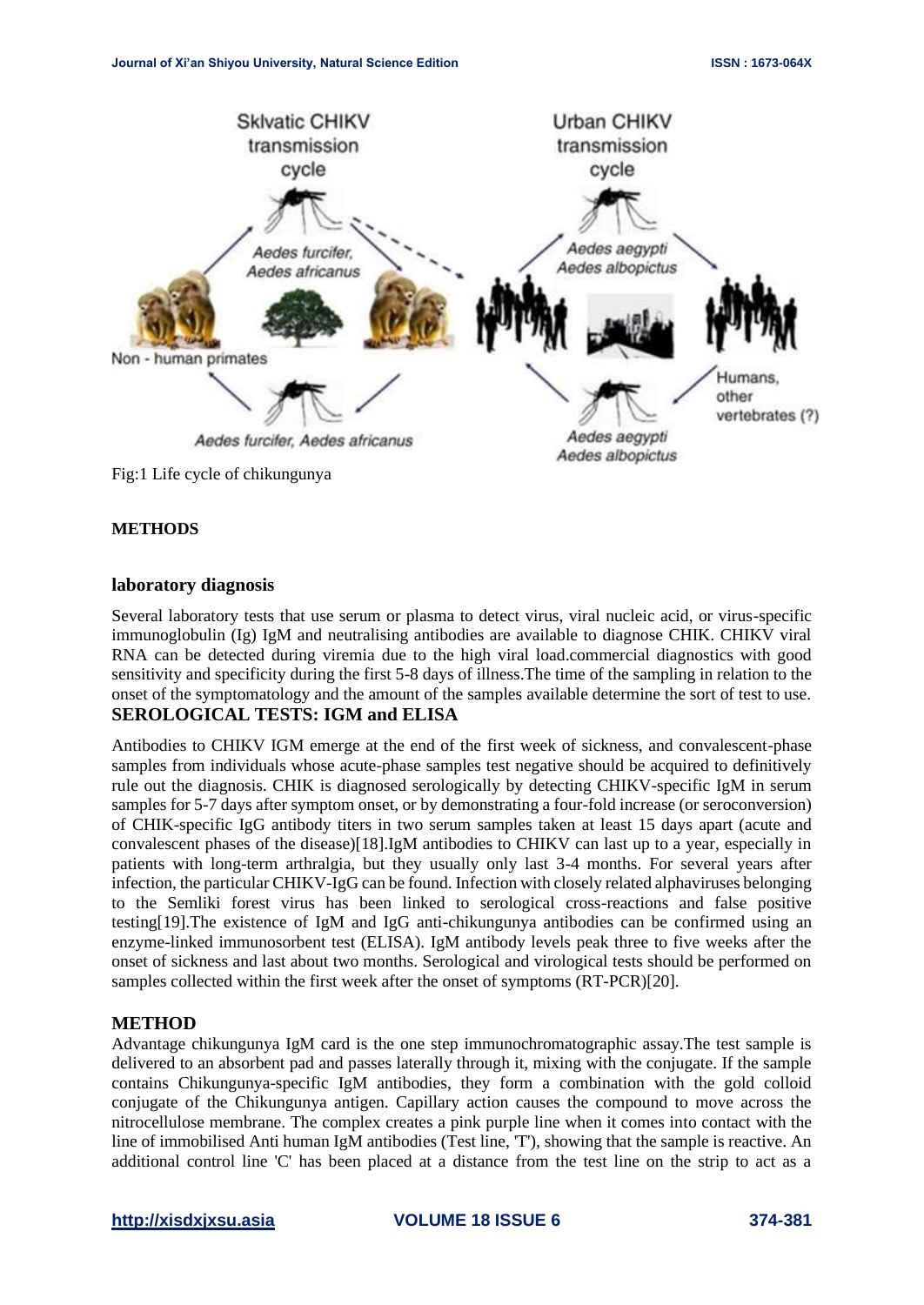

# **METHODS**

#### **laboratory diagnosis**

Several laboratory tests that use serum or plasma to detect virus, viral nucleic acid, or virus-specific immunoglobulin (Ig) IgM and neutralising antibodies are available to diagnose CHIK. CHIKV viral RNA can be detected during viremia due to the high viral load.commercial diagnostics with good sensitivity and specificity during the first 5-8 days of illness.The time of the sampling in relation to the onset of the symptomatology and the amount of the samples available determine the sort of test to use. **SEROLOGICAL TESTS: IGM and ELISA** 

Antibodies to CHIKV IGM emerge at the end of the first week of sickness, and convalescent-phase samples from individuals whose acute-phase samples test negative should be acquired to definitively rule out the diagnosis. CHIK is diagnosed serologically by detecting CHIKV-specific IgM in serum samples for 5-7 days after symptom onset, or by demonstrating a four-fold increase (or seroconversion) of CHIK-specific IgG antibody titers in two serum samples taken at least 15 days apart (acute and convalescent phases of the disease)[18].IgM antibodies to CHIKV can last up to a year, especially in patients with long-term arthralgia, but they usually only last 3-4 months. For several years after infection, the particular CHIKV-IgG can be found. Infection with closely related alphaviruses belonging to the Semliki forest virus has been linked to serological cross-reactions and false positive testing[19].The existence of IgM and IgG anti-chikungunya antibodies can be confirmed using an enzyme-linked immunosorbent test (ELISA). IgM antibody levels peak three to five weeks after the onset of sickness and last about two months. Serological and virological tests should be performed on samples collected within the first week after the onset of symptoms (RT-PCR)[20].

### **METHOD**

Advantage chikungunya IgM card is the one step immunochromatographic assay.The test sample is delivered to an absorbent pad and passes laterally through it, mixing with the conjugate. If the sample contains Chikungunya-specific IgM antibodies, they form a combination with the gold colloid conjugate of the Chikungunya antigen. Capillary action causes the compound to move across the nitrocellulose membrane. The complex creates a pink purple line when it comes into contact with the line of immobilised Anti human IgM antibodies (Test line, 'T'), showing that the sample is reactive. An additional control line 'C' has been placed at a distance from the test line on the strip to act as a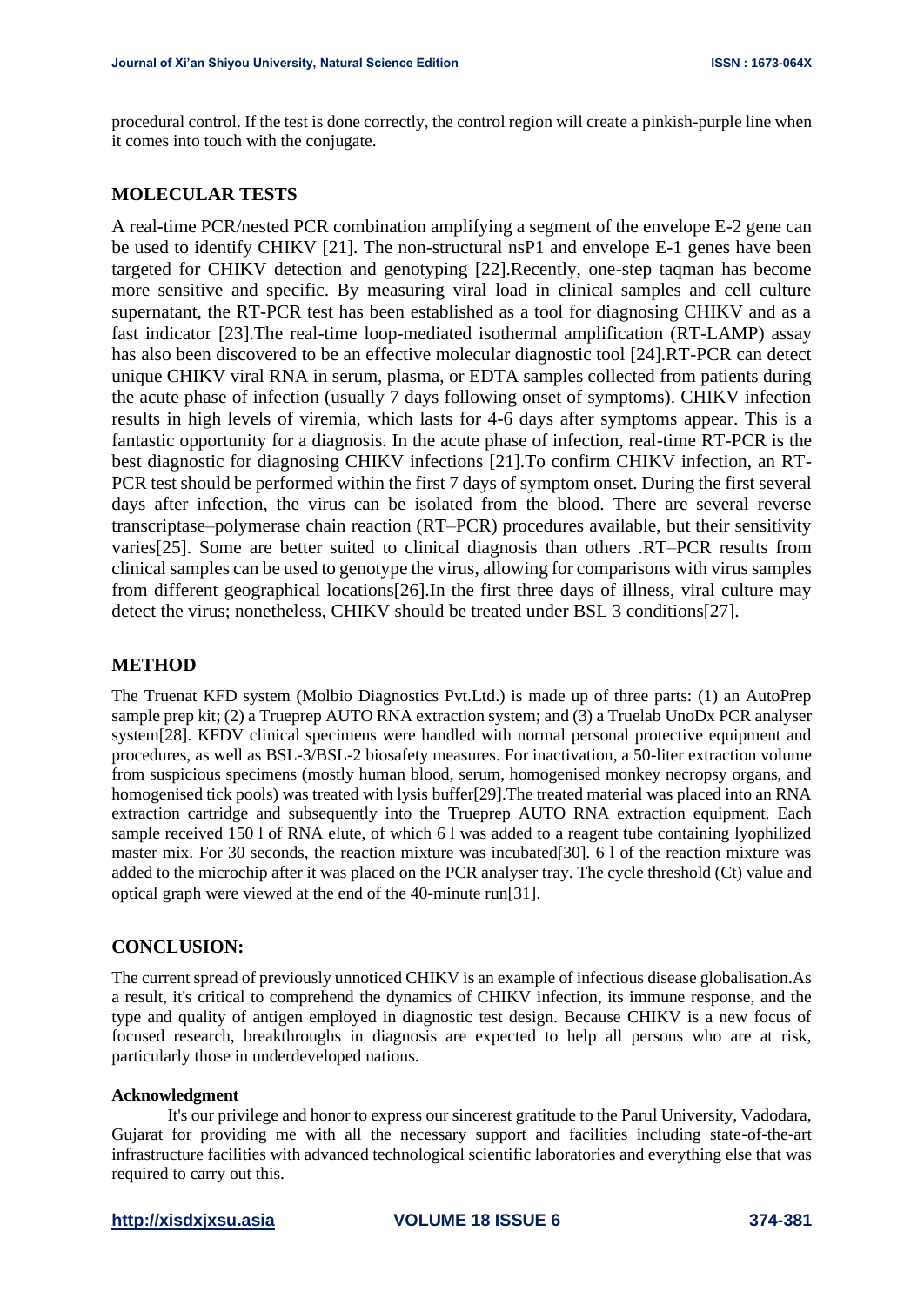procedural control. If the test is done correctly, the control region will create a pinkish-purple line when it comes into touch with the conjugate.

# **MOLECULAR TESTS**

A real-time PCR/nested PCR combination amplifying a segment of the envelope E-2 gene can be used to identify CHIKV [21]. The non-structural nsP1 and envelope E-1 genes have been targeted for CHIKV detection and genotyping [22].Recently, one-step taqman has become more sensitive and specific. By measuring viral load in clinical samples and cell culture supernatant, the RT-PCR test has been established as a tool for diagnosing CHIKV and as a fast indicator [23].The real-time loop-mediated isothermal amplification (RT-LAMP) assay has also been discovered to be an effective molecular diagnostic tool [24].RT-PCR can detect unique CHIKV viral RNA in serum, plasma, or EDTA samples collected from patients during the acute phase of infection (usually 7 days following onset of symptoms). CHIKV infection results in high levels of viremia, which lasts for 4-6 days after symptoms appear. This is a fantastic opportunity for a diagnosis. In the acute phase of infection, real-time RT-PCR is the best diagnostic for diagnosing CHIKV infections [21].To confirm CHIKV infection, an RT-PCR test should be performed within the first 7 days of symptom onset. During the first several days after infection, the virus can be isolated from the blood. There are several reverse transcriptase–polymerase chain reaction (RT–PCR) procedures available, but their sensitivity varies[25]. Some are better suited to clinical diagnosis than others .RT–PCR results from clinical samples can be used to genotype the virus, allowing for comparisons with virus samples from different geographical locations[26].In the first three days of illness, viral culture may detect the virus; nonetheless, CHIKV should be treated under BSL 3 conditions[27].

### **METHOD**

The Truenat KFD system (Molbio Diagnostics Pvt.Ltd.) is made up of three parts: (1) an AutoPrep sample prep kit; (2) a Trueprep AUTO RNA extraction system; and (3) a Truelab UnoDx PCR analyser system[28]. KFDV clinical specimens were handled with normal personal protective equipment and procedures, as well as BSL-3/BSL-2 biosafety measures. For inactivation, a 50-liter extraction volume from suspicious specimens (mostly human blood, serum, homogenised monkey necropsy organs, and homogenised tick pools) was treated with lysis buffer[29].The treated material was placed into an RNA extraction cartridge and subsequently into the Trueprep AUTO RNA extraction equipment. Each sample received 150 l of RNA elute, of which 6 l was added to a reagent tube containing lyophilized master mix. For 30 seconds, the reaction mixture was incubated[30]. 6 l of the reaction mixture was added to the microchip after it was placed on the PCR analyser tray. The cycle threshold (Ct) value and optical graph were viewed at the end of the 40-minute run[31].

### **CONCLUSION:**

The current spread of previously unnoticed CHIKV is an example of infectious disease globalisation.As a result, it's critical to comprehend the dynamics of CHIKV infection, its immune response, and the type and quality of antigen employed in diagnostic test design. Because CHIKV is a new focus of focused research, breakthroughs in diagnosis are expected to help all persons who are at risk, particularly those in underdeveloped nations.

#### **Acknowledgment**

It's our privilege and honor to express our sincerest gratitude to the Parul University, Vadodara, Gujarat for providing me with all the necessary support and facilities including state-of-the-art infrastructure facilities with advanced technological scientific laboratories and everything else that was required to carry out this.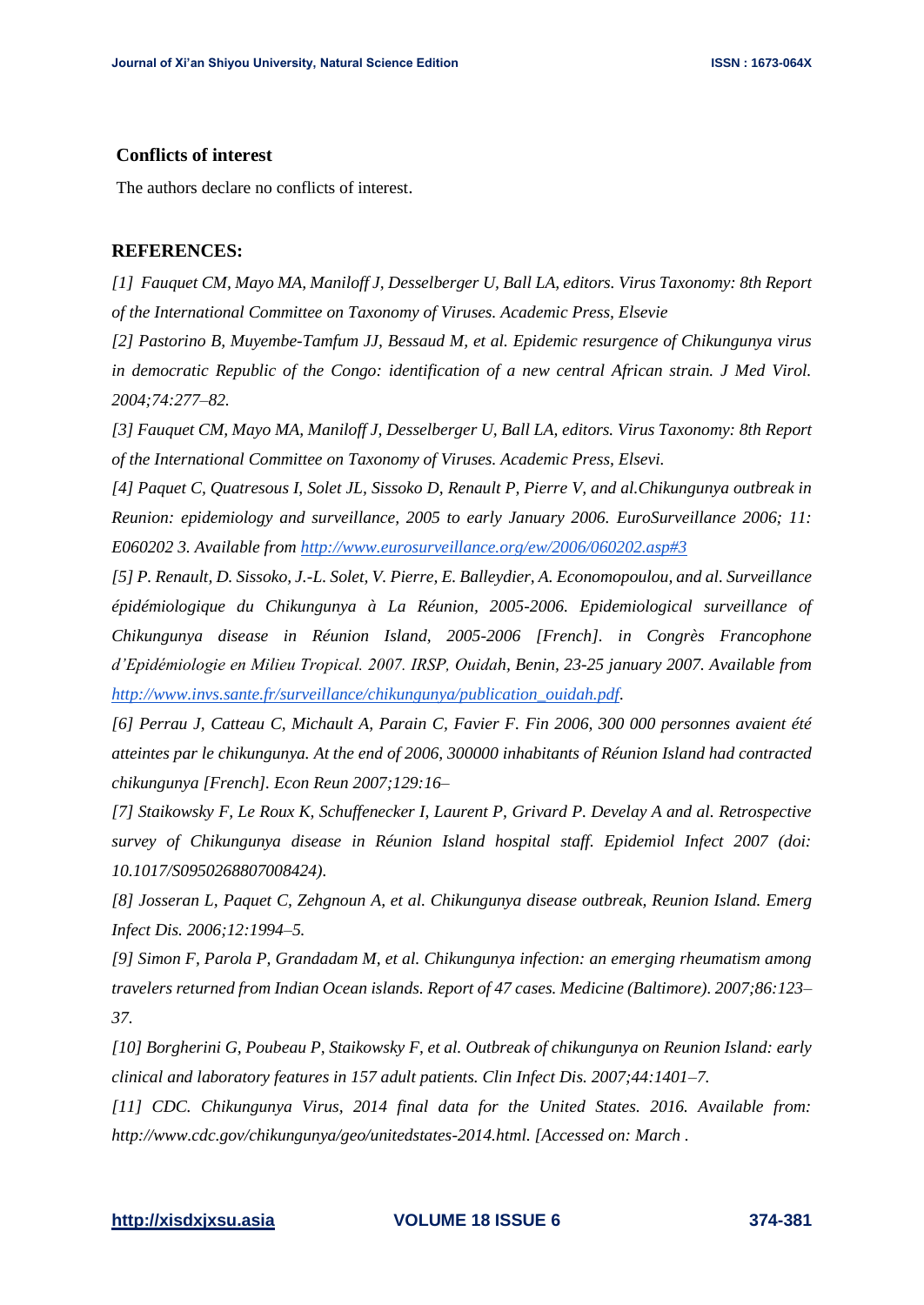#### **Conflicts of interest**

The authors declare no conflicts of interest.

#### **REFERENCES:**

*[1] Fauquet CM, Mayo MA, Maniloff J, Desselberger U, Ball LA, editors. Virus Taxonomy: 8th Report of the International Committee on Taxonomy of Viruses. Academic Press, Elsevie*

*[2] Pastorino B, Muyembe-Tamfum JJ, Bessaud M, et al. Epidemic resurgence of Chikungunya virus in democratic Republic of the Congo: identification of a new central African strain. J Med Virol. 2004;74:277–82.*

*[3] Fauquet CM, Mayo MA, Maniloff J, Desselberger U, Ball LA, editors. Virus Taxonomy: 8th Report of the International Committee on Taxonomy of Viruses. Academic Press, Elsevi.*

*[4] Paquet C, Quatresous I, Solet JL, Sissoko D, Renault P, Pierre V, and al.Chikungunya outbreak in Reunion: epidemiology and surveillance, 2005 to early January 2006. EuroSurveillance 2006; 11: E060202 3. Available from<http://www.eurosurveillance.org/ew/2006/060202.asp#3>*

*[5] P. Renault, D. Sissoko, J.-L. Solet, V. Pierre, E. Balleydier, A. Economopoulou, and al. Surveillance épidémiologique du Chikungunya à La Réunion, 2005-2006. Epidemiological surveillance of Chikungunya disease in Réunion Island, 2005-2006 [French]. in Congrès Francophone d'Epidémiologie en Milieu Tropical. 2007. IRSP, Ouidah, Benin, 23-25 january 2007. Available from [http://www.invs.sante.fr/surveillance/chikungunya/publication\\_ouidah.pdf.](http://www.invs.sante.fr/surveillance/chikungunya/publication_ouidah.pdf)*

*[6] Perrau J, Catteau C, Michault A, Parain C, Favier F. Fin 2006, 300 000 personnes avaient été atteintes par le chikungunya. At the end of 2006, 300000 inhabitants of Réunion Island had contracted chikungunya [French]. Econ Reun 2007;129:16–*

*[7] Staikowsky F, Le Roux K, Schuffenecker I, Laurent P, Grivard P. Develay A and al. Retrospective survey of Chikungunya disease in Réunion Island hospital staff. Epidemiol Infect 2007 (doi: 10.1017/S0950268807008424).*

*[8] Josseran L, Paquet C, Zehgnoun A, et al. Chikungunya disease outbreak, Reunion Island. Emerg Infect Dis. 2006;12:1994–5.*

*[9] Simon F, Parola P, Grandadam M, et al. Chikungunya infection: an emerging rheumatism among travelers returned from Indian Ocean islands. Report of 47 cases. Medicine (Baltimore). 2007;86:123– 37.*

*[10] Borgherini G, Poubeau P, Staikowsky F, et al. Outbreak of chikungunya on Reunion Island: early clinical and laboratory features in 157 adult patients. Clin Infect Dis. 2007;44:1401–7.*

*[11] CDC. Chikungunya Virus, 2014 final data for the United States. 2016. Available from: http://www.cdc.gov/chikungunya/geo/unitedstates-2014.html. [Accessed on: March .*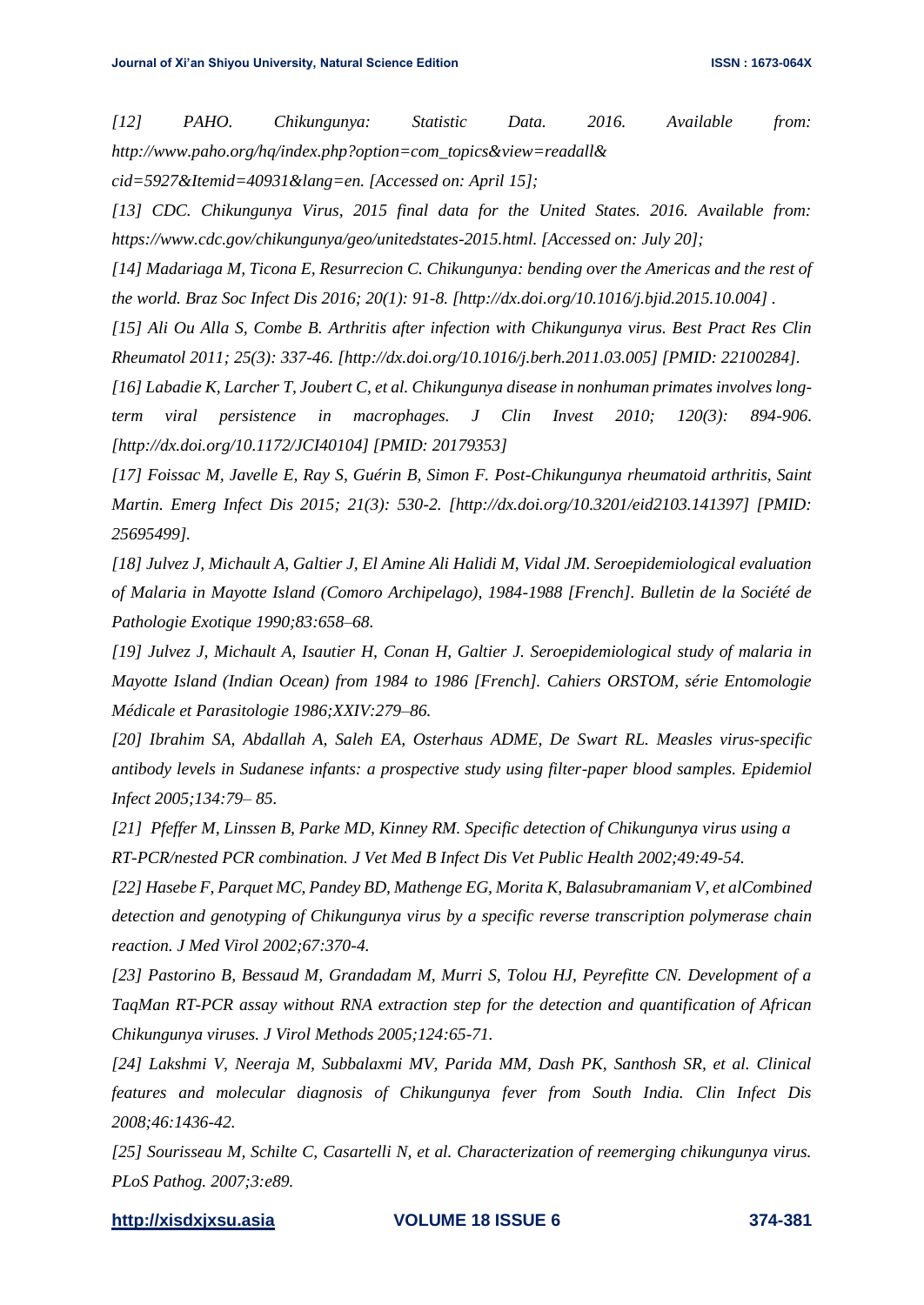*[12] PAHO. Chikungunya: Statistic Data. 2016. Available from: http://www.paho.org/hq/index.php?option=com\_topics&view=readall& cid=5927&Itemid=40931&lang=en. [Accessed on: April 15];*

*[13] CDC. Chikungunya Virus, 2015 final data for the United States. 2016. Available from: https://www.cdc.gov/chikungunya/geo/unitedstates-2015.html. [Accessed on: July 20];*

*[14] Madariaga M, Ticona E, Resurrecion C. Chikungunya: bending over the Americas and the rest of the world. Braz Soc Infect Dis 2016; 20(1): 91-8. [http://dx.doi.org/10.1016/j.bjid.2015.10.004] .*

*[15] Ali Ou Alla S, Combe B. Arthritis after infection with Chikungunya virus. Best Pract Res Clin Rheumatol 2011; 25(3): 337-46. [http://dx.doi.org/10.1016/j.berh.2011.03.005] [PMID: 22100284].*

*[16] Labadie K, Larcher T, Joubert C, et al. Chikungunya disease in nonhuman primates involves longterm viral persistence in macrophages. J Clin Invest 2010; 120(3): 894-906. [http://dx.doi.org/10.1172/JCI40104] [PMID: 20179353]* 

*[17] Foissac M, Javelle E, Ray S, Guérin B, Simon F. Post-Chikungunya rheumatoid arthritis, Saint Martin. Emerg Infect Dis 2015; 21(3): 530-2. [http://dx.doi.org/10.3201/eid2103.141397] [PMID: 25695499].*

*[18] Julvez J, Michault A, Galtier J, El Amine Ali Halidi M, Vidal JM. Seroepidemiological evaluation of Malaria in Mayotte Island (Comoro Archipelago), 1984-1988 [French]. Bulletin de la Société de Pathologie Exotique 1990;83:658–68.*

*[19] Julvez J, Michault A, Isautier H, Conan H, Galtier J. Seroepidemiological study of malaria in Mayotte Island (Indian Ocean) from 1984 to 1986 [French]. Cahiers ORSTOM, série Entomologie Médicale et Parasitologie 1986;XXIV:279–86.*

*[20] Ibrahim SA, Abdallah A, Saleh EA, Osterhaus ADME, De Swart RL. Measles virus-specific antibody levels in Sudanese infants: a prospective study using filter-paper blood samples. Epidemiol Infect 2005;134:79– 85.*

*[21] Pfeffer M, Linssen B, Parke MD, Kinney RM. Specific detection of Chikungunya virus using a RT-PCR/nested PCR combination. J Vet Med B Infect Dis Vet Public Health 2002;49:49-54.*

*[22] Hasebe F, Parquet MC, Pandey BD, Mathenge EG, Morita K, Balasubramaniam V, et alCombined detection and genotyping of Chikungunya virus by a specific reverse transcription polymerase chain reaction. J Med Virol 2002;67:370-4.*

*[23] Pastorino B, Bessaud M, Grandadam M, Murri S, Tolou HJ, Peyrefitte CN. Development of a TaqMan RT-PCR assay without RNA extraction step for the detection and quantification of African Chikungunya viruses. J Virol Methods 2005;124:65-71.*

*[24] Lakshmi V, Neeraja M, Subbalaxmi MV, Parida MM, Dash PK, Santhosh SR, et al. Clinical features and molecular diagnosis of Chikungunya fever from South India. Clin Infect Dis 2008;46:1436-42.*

*[25] Sourisseau M, Schilte C, Casartelli N, et al. Characterization of reemerging chikungunya virus. PLoS Pathog. 2007;3:e89.*

**[http://xisdxjxsu.asia](http://xisdxjxsu.asia/) VOLUME 18 ISSUE 6 374-381**